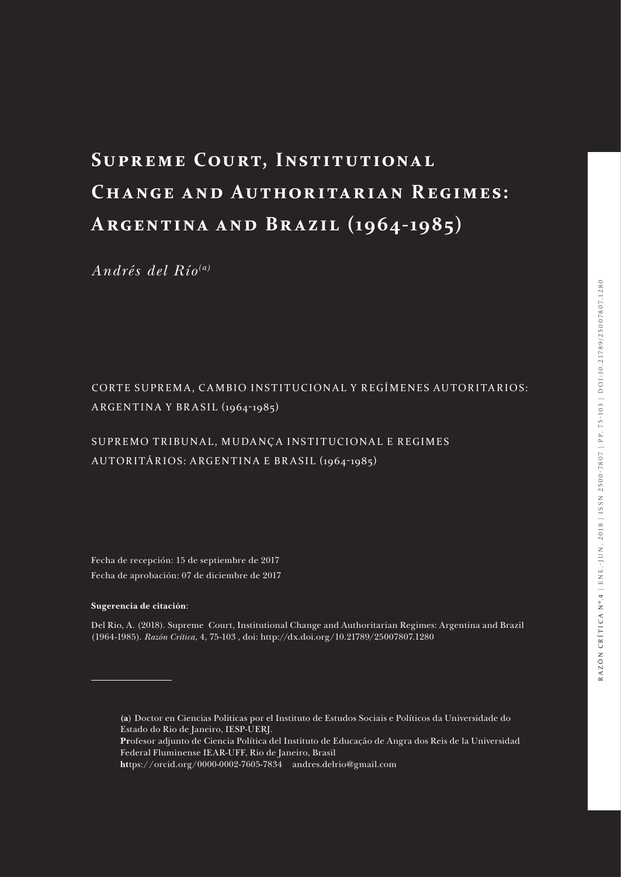# **Supreme Court, Institutional CHANGE AND AUTHORITARIAN REGIMES: Argentina a nd Br a zil (19 64-19 85)**

*Andrés del Río(a)*

#### CORTE SUPREMA, CAMBIO INSTITUCIONAL Y REGÍMENES AUTORITARIOS: ARGENTINA Y BR ASIL (1964-1985)

#### SUPREMO TRIBUNAL, MUDANÇA INSTITUCIONAL E REGIMES AUTORITÁRIOS: ARGENTINA E BR ASIL (1964-1985)

Fecha de recepción: 15 de septiembre de 2017 Fecha de aprobación: 07 de diciembre de 2017

#### **Sugerencia de citación**:

Del Rio, A. (2018). Supreme Court, Institutional Change and Authoritarian Regimes: Argentina and Brazil (1964-1985). *Razón Crítica*, 4, 75-103 , doi: http://dx.doi.org/10.21789/25007807.1280

**<sup>(</sup>a**) Doctor en Ciencias Politicas por el Instituto de Estudos Sociais e Políticos da Universidade do Estado do Rio de Janeiro, IESP-UERJ.

**Pr**ofesor adjunto de Ciencia Política del Instituto de Educação de Angra dos Reis de la Universidad Federal Fluminense IEAR-UFF, Rio de Janeiro, Brasil

**ht**tps://orcid.org/0000-0002-7605-7834 andres.delrio@gmail.com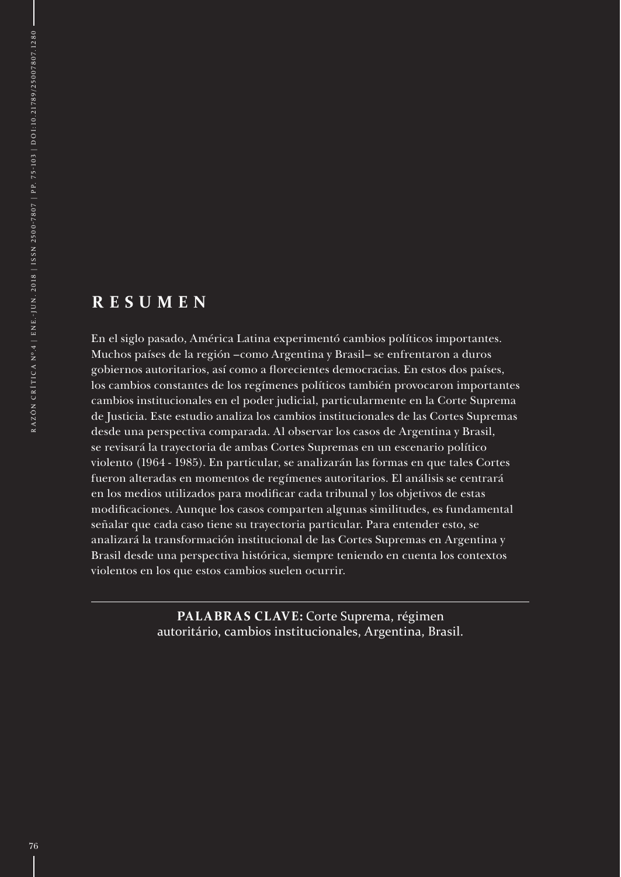#### **R E S U M E N**

En el siglo pasado, América Latina experimentó cambios políticos importantes. Muchos países de la región –como Argentina y Brasil– se enfrentaron a duros gobiernos autoritarios, así como a florecientes democracias. En estos dos países, los cambios constantes de los regímenes políticos también provocaron importantes cambios institucionales en el poder judicial, particularmente en la Corte Suprema de Justicia. Este estudio analiza los cambios institucionales de las Cortes Supremas desde una perspectiva comparada. Al observar los casos de Argentina y Brasil, se revisará la trayectoria de ambas Cortes Supremas en un escenario político violento (1964 - 1985). En particular, se analizarán las formas en que tales Cortes fueron alteradas en momentos de regímenes autoritarios. El análisis se centrará en los medios utilizados para modificar cada tribunal y los objetivos de estas modificaciones. Aunque los casos comparten algunas similitudes, es fundamental señalar que cada caso tiene su trayectoria particular. Para entender esto, se analizará la transformación institucional de las Cortes Supremas en Argentina y Brasil desde una perspectiva histórica, siempre teniendo en cuenta los contextos violentos en los que estos cambios suelen ocurrir.

> **PALABR AS CLAVE:** Corte Suprema, régimen autoritário, cambios institucionales, Argentina, Brasil.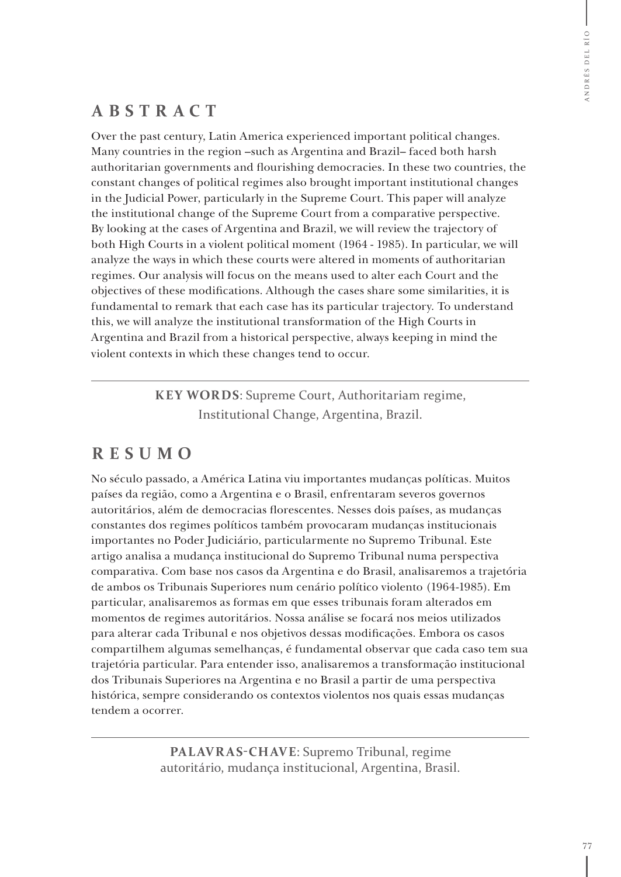#### **ABSTRACT**

Over the past century, Latin America experienced important political changes. Many countries in the region –such as Argentina and Brazil– faced both harsh authoritarian governments and flourishing democracies. In these two countries, the constant changes of political regimes also brought important institutional changes in the Judicial Power, particularly in the Supreme Court. This paper will analyze the institutional change of the Supreme Court from a comparative perspective. By looking at the cases of Argentina and Brazil, we will review the trajectory of both High Courts in a violent political moment (1964 - 1985). In particular, we will analyze the ways in which these courts were altered in moments of authoritarian regimes. Our analysis will focus on the means used to alter each Court and the objectives of these modifications. Although the cases share some similarities, it is fundamental to remark that each case has its particular trajectory. To understand this, we will analyze the institutional transformation of the High Courts in Argentina and Brazil from a historical perspective, always keeping in mind the violent contexts in which these changes tend to occur.

> **KEY WORDS**: Supreme Court, Authoritariam regime, Institutional Change, Argentina, Brazil.

### **RESUMO**

No século passado, a América Latina viu importantes mudanças políticas. Muitos países da região, como a Argentina e o Brasil, enfrentaram severos governos autoritários, além de democracias florescentes. Nesses dois países, as mudanças constantes dos regimes políticos também provocaram mudanças institucionais importantes no Poder Judiciário, particularmente no Supremo Tribunal. Este artigo analisa a mudança institucional do Supremo Tribunal numa perspectiva comparativa. Com base nos casos da Argentina e do Brasil, analisaremos a trajetória de ambos os Tribunais Superiores num cenário político violento (1964-1985). Em particular, analisaremos as formas em que esses tribunais foram alterados em momentos de regimes autoritários. Nossa análise se focará nos meios utilizados para alterar cada Tribunal e nos objetivos dessas modificações. Embora os casos compartilhem algumas semelhanças, é fundamental observar que cada caso tem sua trajetória particular. Para entender isso, analisaremos a transformação institucional dos Tribunais Superiores na Argentina e no Brasil a partir de uma perspectiva histórica, sempre considerando os contextos violentos nos quais essas mudanças tendem a ocorrer.

> **PALAVR AS-CHAVE**: Supremo Tribunal, regime autoritário, mudança institucional, Argentina, Brasil.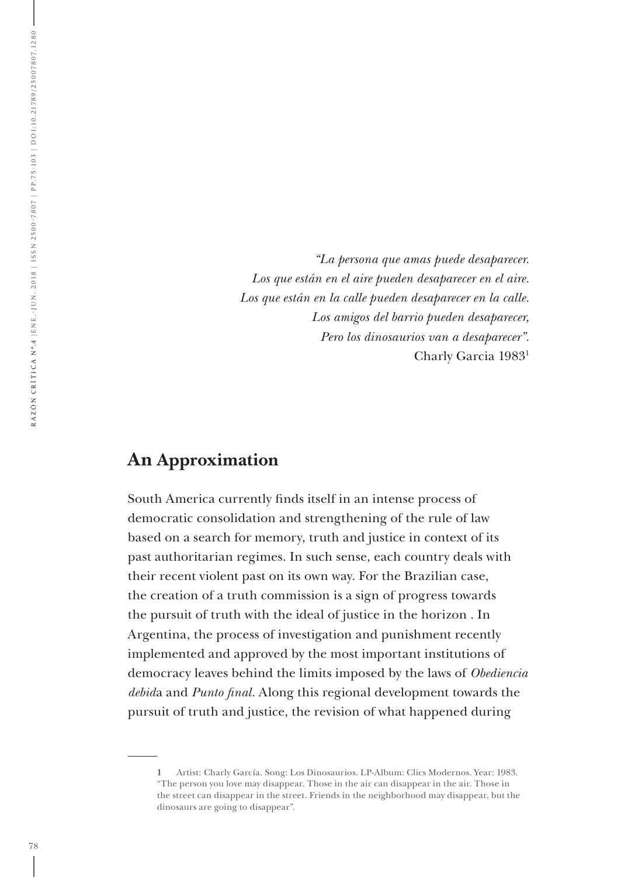*"La persona que amas puede desaparecer. Los que están en el aire pueden desaparecer en el aire. Los que están en la calle pueden desaparecer en la calle. Los amigos del barrio pueden desaparecer, Pero los dinosaurios van a desaparecer".* Charly Garcia 19831

#### **An Approximation**

South America currently finds itself in an intense process of democratic consolidation and strengthening of the rule of law based on a search for memory, truth and justice in context of its past authoritarian regimes. In such sense, each country deals with their recent violent past on its own way. For the Brazilian case, the creation of a truth commission is a sign of progress towards the pursuit of truth with the ideal of justice in the horizon . In Argentina, the process of investigation and punishment recently implemented and approved by the most important institutions of democracy leaves behind the limits imposed by the laws of *Obediencia debid*a and *Punto final*. Along this regional development towards the pursuit of truth and justice, the revision of what happened during

**<sup>1</sup>** Artist: Charly García. Song: Los Dinosaurios. LP-Album: Clics Modernos. Year: 1983. "The person you love may disappear. Those in the air can disappear in the air. Those in the street can disappear in the street. Friends in the neighborhood may disappear, but the dinosaurs are going to disappear".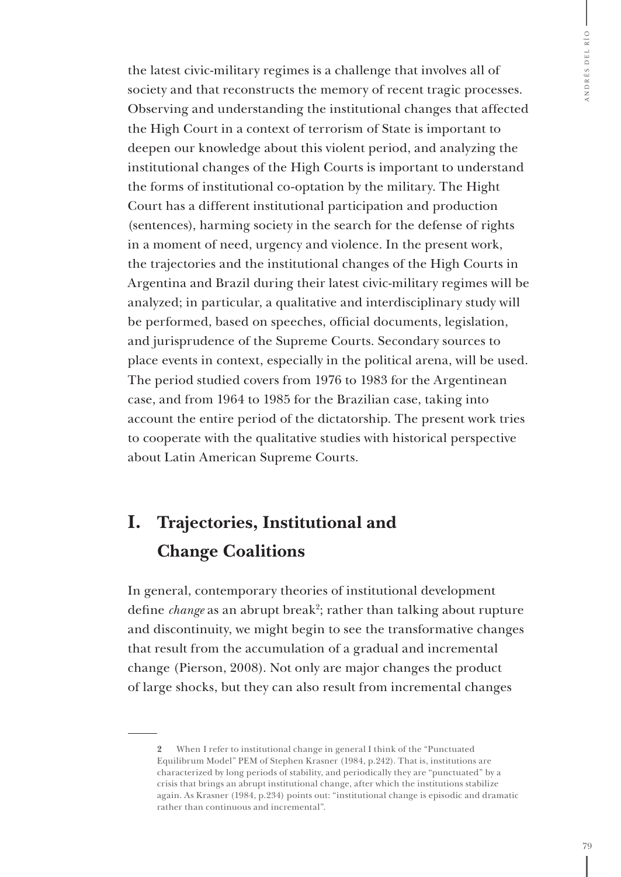the latest civic-military regimes is a challenge that involves all of society and that reconstructs the memory of recent tragic processes. Observing and understanding the institutional changes that affected the High Court in a context of terrorism of State is important to deepen our knowledge about this violent period, and analyzing the institutional changes of the High Courts is important to understand the forms of institutional co-optation by the military. The Hight Court has a different institutional participation and production (sentences), harming society in the search for the defense of rights in a moment of need, urgency and violence. In the present work, the trajectories and the institutional changes of the High Courts in Argentina and Brazil during their latest civic-military regimes will be analyzed; in particular, a qualitative and interdisciplinary study will be performed, based on speeches, official documents, legislation, and jurisprudence of the Supreme Courts. Secondary sources to place events in context, especially in the political arena, will be used. The period studied covers from 1976 to 1983 for the Argentinean case, and from 1964 to 1985 for the Brazilian case, taking into account the entire period of the dictatorship. The present work tries to cooperate with the qualitative studies with historical perspective about Latin American Supreme Courts.

## **I. Trajectories, Institutional and Change Coalitions**

In general, contemporary theories of institutional development define *change* as an abrupt break<sup>2</sup>; rather than talking about rupture and discontinuity, we might begin to see the transformative changes that result from the accumulation of a gradual and incremental change (Pierson, 2008). Not only are major changes the product of large shocks, but they can also result from incremental changes

**<sup>2</sup>** When I refer to institutional change in general I think of the "Punctuated Equilibrum Model" PEM of Stephen Krasner (1984, p.242). That is, institutions are characterized by long periods of stability, and periodically they are "punctuated" by a crisis that brings an abrupt institutional change, after which the institutions stabilize again. As Krasner (1984, p.234) points out: "institutional change is episodic and dramatic rather than continuous and incremental".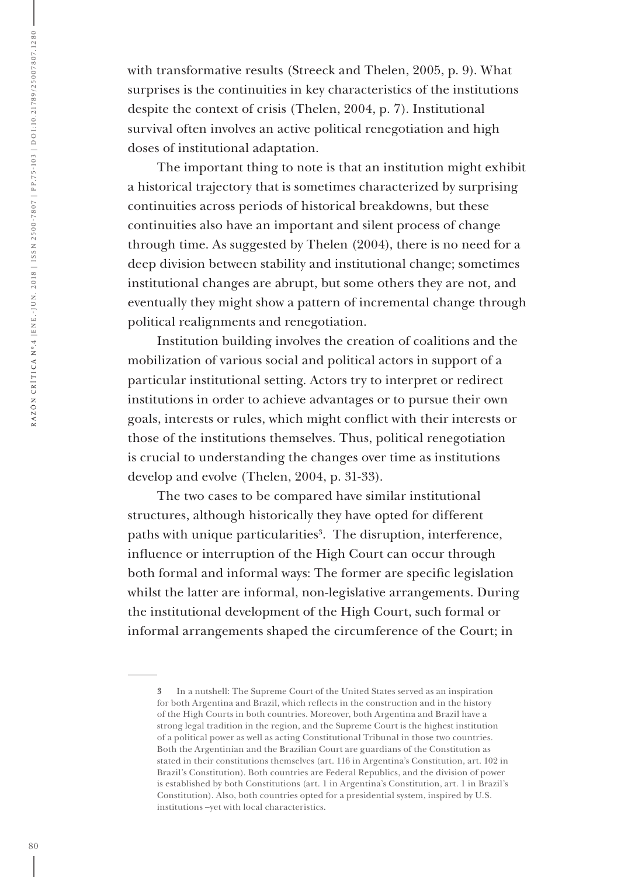with transformative results (Streeck and Thelen, 2005, p. 9). What surprises is the continuities in key characteristics of the institutions despite the context of crisis (Thelen, 2004, p. 7). Institutional survival often involves an active political renegotiation and high doses of institutional adaptation.

The important thing to note is that an institution might exhibit a historical trajectory that is sometimes characterized by surprising continuities across periods of historical breakdowns, but these continuities also have an important and silent process of change through time. As suggested by Thelen (2004), there is no need for a deep division between stability and institutional change; sometimes institutional changes are abrupt, but some others they are not, and eventually they might show a pattern of incremental change through political realignments and renegotiation.

Institution building involves the creation of coalitions and the mobilization of various social and political actors in support of a particular institutional setting. Actors try to interpret or redirect institutions in order to achieve advantages or to pursue their own goals, interests or rules, which might conflict with their interests or those of the institutions themselves. Thus, political renegotiation is crucial to understanding the changes over time as institutions develop and evolve (Thelen, 2004, p. 31-33).

The two cases to be compared have similar institutional structures, although historically they have opted for different paths with unique particularities<sup>3</sup>. The disruption, interference, influence or interruption of the High Court can occur through both formal and informal ways: The former are specific legislation whilst the latter are informal, non-legislative arrangements. During the institutional development of the High Court, such formal or informal arrangements shaped the circumference of the Court; in

**<sup>3</sup>** In a nutshell: The Supreme Court of the United States served as an inspiration for both Argentina and Brazil, which reflects in the construction and in the history of the High Courts in both countries. Moreover, both Argentina and Brazil have a strong legal tradition in the region, and the Supreme Court is the highest institution of a political power as well as acting Constitutional Tribunal in those two countries. Both the Argentinian and the Brazilian Court are guardians of the Constitution as stated in their constitutions themselves (art. 116 in Argentina's Constitution, art. 102 in Brazil's Constitution). Both countries are Federal Republics, and the division of power is established by both Constitutions (art. 1 in Argentina's Constitution, art. 1 in Brazil's Constitution). Also, both countries opted for a presidential system, inspired by U.S. institutions –yet with local characteristics.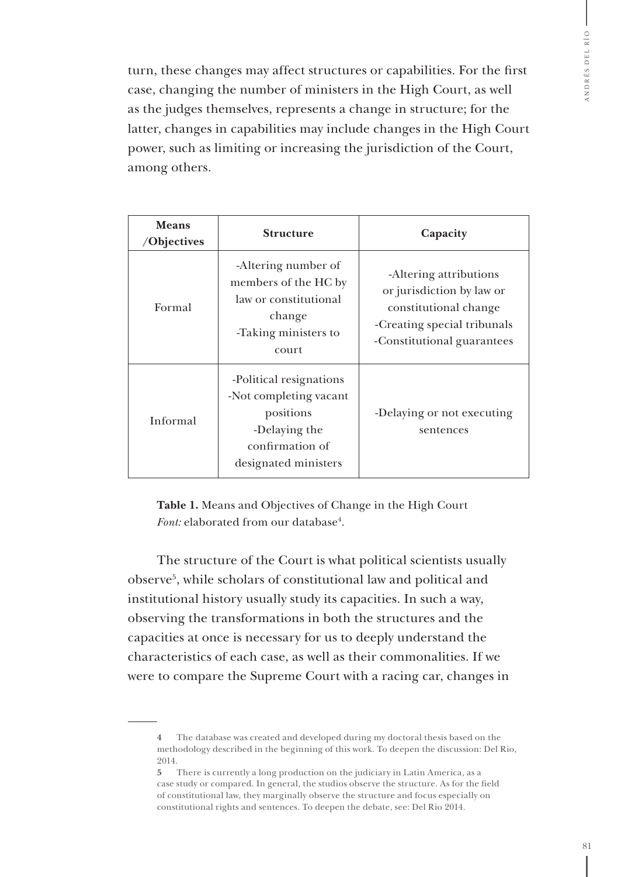turn, these changes may affect structures or capabilities. For the first case, changing the number of ministers in the High Court, as well as the judges themselves, represents a change in structure; for the latter, changes in capabilities may include changes in the High Court power, such as limiting or increasing the jurisdiction of the Court, among others.

| Means<br>/Objectives | <b>Structure</b>                                                                                                           | Capacity                                                                                                                                  |
|----------------------|----------------------------------------------------------------------------------------------------------------------------|-------------------------------------------------------------------------------------------------------------------------------------------|
| Formal               | -Altering number of<br>members of the HC by<br>law or constitutional<br>change<br>-Taking ministers to<br>court            | -Altering attributions<br>or jurisdiction by law or<br>constitutional change<br>-Creating special tribunals<br>-Constitutional guarantees |
| Informal             | -Political resignations<br>-Not completing vacant<br>positions<br>-Delaying the<br>confirmation of<br>designated ministers | -Delaying or not executing<br>sentences                                                                                                   |

**Table 1.** Means and Objectives of Change in the High Court *Font:* elaborated from our database<sup>4</sup>.

The structure of the Court is what political scientists usually observe5 , while scholars of constitutional law and political and institutional history usually study its capacities. In such a way, observing the transformations in both the structures and the capacities at once is necessary for us to deeply understand the characteristics of each case, as well as their commonalities. If we were to compare the Supreme Court with a racing car, changes in

**<sup>4</sup>** The database was created and developed during my doctoral thesis based on the methodology described in the beginning of this work. To deepen the discussion: Del Rio, 2014.

**<sup>5</sup>** There is currently a long production on the judiciary in Latin America, as a case study or compared. In general, the studios observe the structure. As for the field of constitutional law, they marginally observe the structure and focus especially on constitutional rights and sentences. To deepen the debate, see: Del Rio 2014.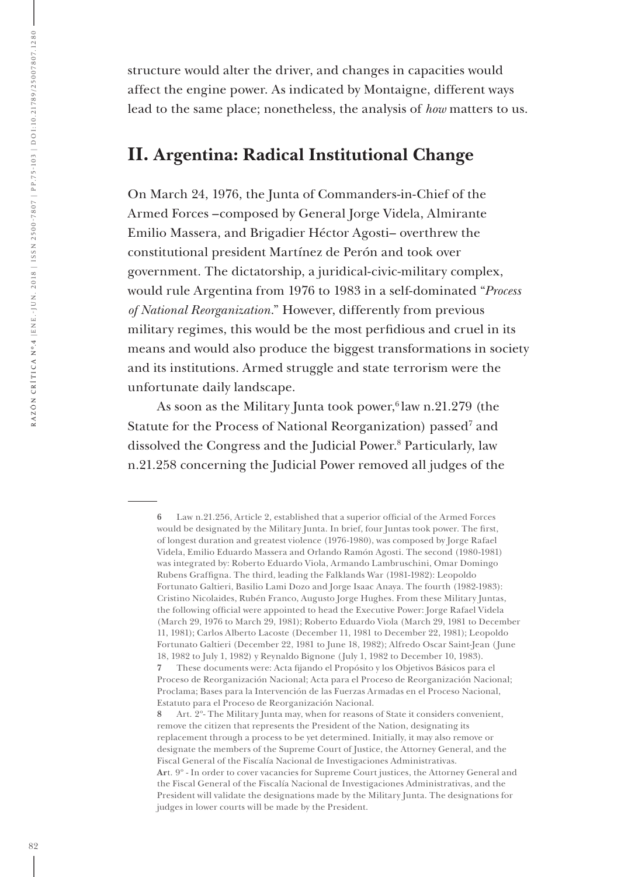structure would alter the driver, and changes in capacities would affect the engine power. As indicated by Montaigne, different ways lead to the same place; nonetheless, the analysis of *how* matters to us.

#### **II. Argentina: Radical Institutional Change**

On March 24, 1976, the Junta of Commanders-in-Chief of the Armed Forces –composed by General Jorge Videla, Almirante Emilio Massera, and Brigadier Héctor Agosti– overthrew the constitutional president Martínez de Perón and took over government. The dictatorship, a juridical-civic-military complex, would rule Argentina from 1976 to 1983 in a self-dominated "*Process of National Reorganization*." However, differently from previous military regimes, this would be the most perfidious and cruel in its means and would also produce the biggest transformations in society and its institutions. Armed struggle and state terrorism were the unfortunate daily landscape.

As soon as the Military Junta took power, $6$  law n.21.279 (the Statute for the Process of National Reorganization) passed<sup>7</sup> and dissolved the Congress and the Judicial Power.8 Particularly, law n.21.258 concerning the Judicial Power removed all judges of the

**<sup>6</sup>** Law n.21.256, Article 2, established that a superior official of the Armed Forces would be designated by the Military Junta. In brief, four Juntas took power. The first, of longest duration and greatest violence (1976-1980), was composed by Jorge Rafael Videla, Emilio Eduardo Massera and Orlando Ramón Agosti. The second (1980-1981) was integrated by: Roberto Eduardo Viola, Armando Lambruschini, Omar Domingo Rubens Graffigna. The third, leading the Falklands War (1981-1982): Leopoldo Fortunato Galtieri, Basilio Lami Dozo and Jorge Isaac Anaya. The fourth (1982-1983): Cristino Nicolaides, Rubén Franco, Augusto Jorge Hughes. From these Military Juntas, the following official were appointed to head the Executive Power: Jorge Rafael Videla (March 29, 1976 to March 29, 1981); Roberto Eduardo Viola (March 29, 1981 to December 11, 1981); Carlos Alberto Lacoste (December 11, 1981 to December 22, 1981); Leopoldo Fortunato Galtieri (December 22, 1981 to June 18, 1982); Alfredo Oscar Saint-Jean (June 18, 1982 to July 1, 1982) y Reynaldo Bignone (July 1, 1982 to December 10, 1983).

**<sup>7</sup>** These documents were: Acta fijando el Propósito y los Objetivos Básicos para el Proceso de Reorganización Nacional; Acta para el Proceso de Reorganización Nacional; Proclama; Bases para la Intervención de las Fuerzas Armadas en el Proceso Nacional, Estatuto para el Proceso de Reorganización Nacional.

**<sup>8</sup>** Art. 2º- The Military Junta may, when for reasons of State it considers convenient, remove the citizen that represents the President of the Nation, designating its replacement through a process to be yet determined. Initially, it may also remove or designate the members of the Supreme Court of Justice, the Attorney General, and the Fiscal General of the Fiscalía Nacional de Investigaciones Administrativas. **Ar**t. 9º - In order to cover vacancies for Supreme Court justices, the Attorney General and the Fiscal General of the Fiscalía Nacional de Investigaciones Administrativas, and the President will validate the designations made by the Military Junta. The designations for judges in lower courts will be made by the President.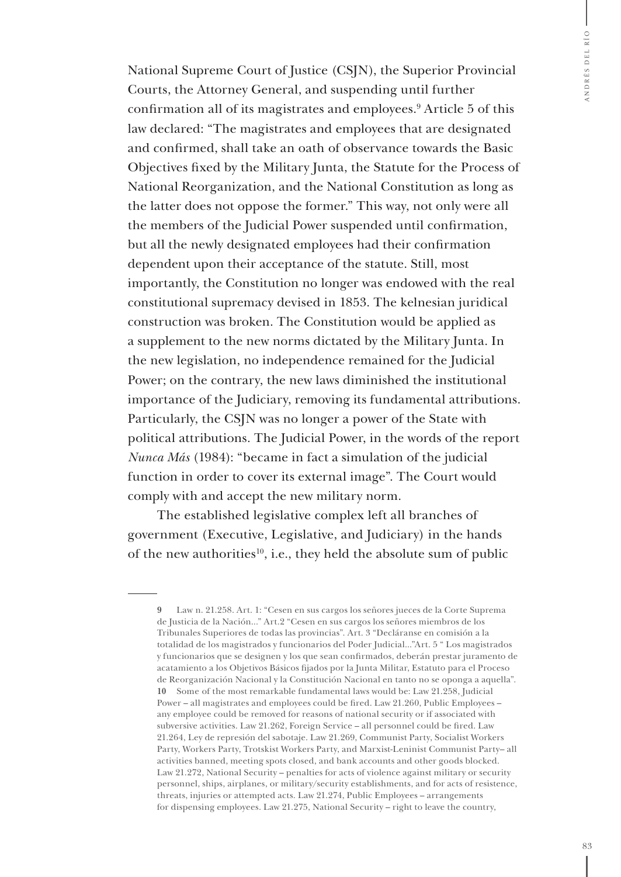National Supreme Court of Justice (CSJN), the Superior Provincial Courts, the Attorney General, and suspending until further confirmation all of its magistrates and employees.<sup>9</sup> Article 5 of this law declared: "The magistrates and employees that are designated and confirmed, shall take an oath of observance towards the Basic Objectives fixed by the Military Junta, the Statute for the Process of National Reorganization, and the National Constitution as long as the latter does not oppose the former." This way, not only were all the members of the Judicial Power suspended until confirmation, but all the newly designated employees had their confirmation dependent upon their acceptance of the statute. Still, most importantly, the Constitution no longer was endowed with the real constitutional supremacy devised in 1853. The kelnesian juridical construction was broken. The Constitution would be applied as a supplement to the new norms dictated by the Military Junta. In the new legislation, no independence remained for the Judicial Power; on the contrary, the new laws diminished the institutional importance of the Judiciary, removing its fundamental attributions. Particularly, the CSJN was no longer a power of the State with political attributions. The Judicial Power, in the words of the report *Nunca Más* (1984): "became in fact a simulation of the judicial function in order to cover its external image". The Court would comply with and accept the new military norm.

The established legislative complex left all branches of government (Executive, Legislative, and Judiciary) in the hands of the new authorities<sup>10</sup>, i.e., they held the absolute sum of public

**<sup>9</sup>** Law n. 21.258. Art. 1: "Cesen en sus cargos los señores jueces de la Corte Suprema de Justicia de la Nación..." Art.2 "Cesen en sus cargos los señores miembros de los Tribunales Superiores de todas las provincias". Art. 3 "Decláranse en comisión a la totalidad de los magistrados y funcionarios del Poder Judicial..."Art. 5 " Los magistrados y funcionarios que se designen y los que sean confirmados, deberán prestar juramento de acatamiento a los Objetivos Básicos fijados por la Junta Militar, Estatuto para el Proceso de Reorganización Nacional y la Constitución Nacional en tanto no se oponga a aquella". **10** Some of the most remarkable fundamental laws would be: Law 21.258, Judicial Power – all magistrates and employees could be fired. Law 21.260, Public Employees – any employee could be removed for reasons of national security or if associated with subversive activities. Law 21.262, Foreign Service – all personnel could be fired. Law 21.264, Ley de represión del sabotaje. Law 21.269, Communist Party, Socialist Workers Party, Workers Party, Trotskist Workers Party, and Marxist-Leninist Communist Party– all activities banned, meeting spots closed, and bank accounts and other goods blocked. Law 21.272, National Security – penalties for acts of violence against military or security personnel, ships, airplanes, or military/security establishments, and for acts of resistence, threats, injuries or attempted acts. Law 21.274, Public Employees – arrangements for dispensing employees. Law 21.275, National Security – right to leave the country,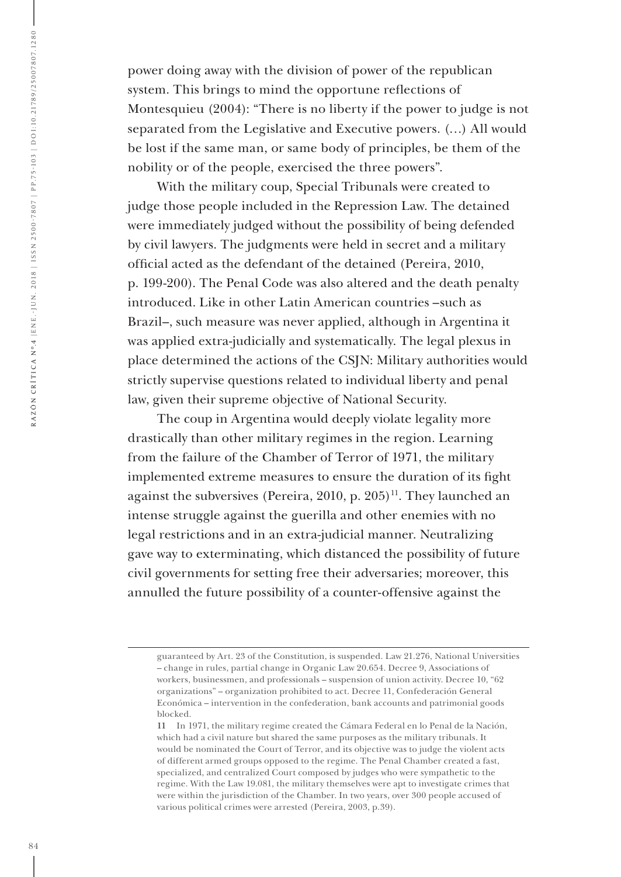power doing away with the division of power of the republican system. This brings to mind the opportune reflections of Montesquieu (2004): "There is no liberty if the power to judge is not separated from the Legislative and Executive powers. (…) All would be lost if the same man, or same body of principles, be them of the nobility or of the people, exercised the three powers".

With the military coup, Special Tribunals were created to judge those people included in the Repression Law. The detained were immediately judged without the possibility of being defended by civil lawyers. The judgments were held in secret and a military official acted as the defendant of the detained (Pereira, 2010, p. 199-200). The Penal Code was also altered and the death penalty introduced. Like in other Latin American countries –such as Brazil–, such measure was never applied, although in Argentina it was applied extra-judicially and systematically. The legal plexus in place determined the actions of the CSJN: Military authorities would strictly supervise questions related to individual liberty and penal law, given their supreme objective of National Security.

The coup in Argentina would deeply violate legality more drastically than other military regimes in the region. Learning from the failure of the Chamber of Terror of 1971, the military implemented extreme measures to ensure the duration of its fight against the subversives (Pereira, 2010, p. 205)<sup>11</sup>. They launched an intense struggle against the guerilla and other enemies with no legal restrictions and in an extra-judicial manner. Neutralizing gave way to exterminating, which distanced the possibility of future civil governments for setting free their adversaries; moreover, this annulled the future possibility of a counter-offensive against the

guaranteed by Art. 23 of the Constitution, is suspended. Law 21.276, National Universities – change in rules, partial change in Organic Law 20.654. Decree 9, Associations of workers, businessmen, and professionals – suspension of union activity. Decree 10, "62 organizations" – organization prohibited to act. Decree 11, Confederación General Económica – intervention in the confederation, bank accounts and patrimonial goods blocked.

**<sup>11</sup>** In 1971, the military regime created the Cámara Federal en lo Penal de la Nación, which had a civil nature but shared the same purposes as the military tribunals. It would be nominated the Court of Terror, and its objective was to judge the violent acts of different armed groups opposed to the regime. The Penal Chamber created a fast, specialized, and centralized Court composed by judges who were sympathetic to the regime. With the Law 19.081, the military themselves were apt to investigate crimes that were within the jurisdiction of the Chamber. In two years, over 300 people accused of various political crimes were arrested (Pereira, 2003, p.39).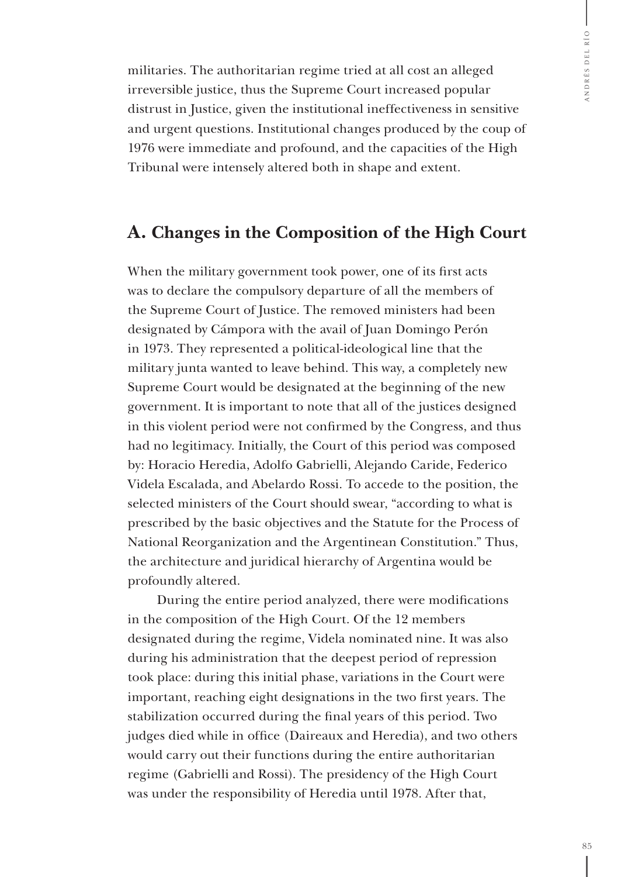militaries. The authoritarian regime tried at all cost an alleged irreversible justice, thus the Supreme Court increased popular distrust in Justice, given the institutional ineffectiveness in sensitive and urgent questions. Institutional changes produced by the coup of 1976 were immediate and profound, and the capacities of the High Tribunal were intensely altered both in shape and extent.

#### **A. Changes in the Composition of the High Court**

When the military government took power, one of its first acts was to declare the compulsory departure of all the members of the Supreme Court of Justice. The removed ministers had been designated by Cámpora with the avail of Juan Domingo Perón in 1973. They represented a political-ideological line that the military junta wanted to leave behind. This way, a completely new Supreme Court would be designated at the beginning of the new government. It is important to note that all of the justices designed in this violent period were not confirmed by the Congress, and thus had no legitimacy. Initially, the Court of this period was composed by: Horacio Heredia, Adolfo Gabrielli, Alejando Caride, Federico Videla Escalada, and Abelardo Rossi. To accede to the position, the selected ministers of the Court should swear, "according to what is prescribed by the basic objectives and the Statute for the Process of National Reorganization and the Argentinean Constitution." Thus, the architecture and juridical hierarchy of Argentina would be profoundly altered.

During the entire period analyzed, there were modifications in the composition of the High Court. Of the 12 members designated during the regime, Videla nominated nine. It was also during his administration that the deepest period of repression took place: during this initial phase, variations in the Court were important, reaching eight designations in the two first years. The stabilization occurred during the final years of this period. Two judges died while in office (Daireaux and Heredia), and two others would carry out their functions during the entire authoritarian regime (Gabrielli and Rossi). The presidency of the High Court was under the responsibility of Heredia until 1978. After that,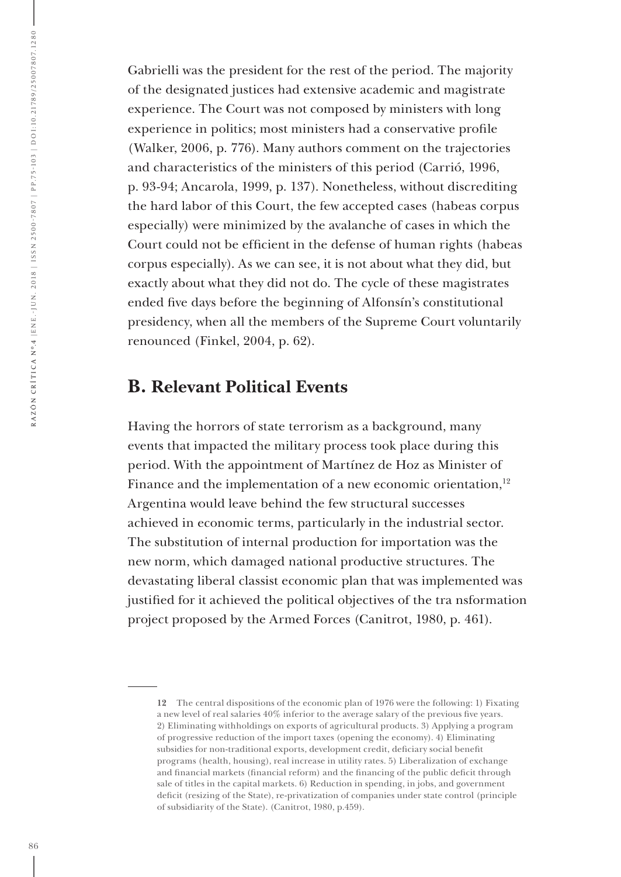Gabrielli was the president for the rest of the period. The majority of the designated justices had extensive academic and magistrate experience. The Court was not composed by ministers with long experience in politics; most ministers had a conservative profile (Walker, 2006, p. 776). Many authors comment on the trajectories and characteristics of the ministers of this period (Carrió, 1996, p. 93-94; Ancarola, 1999, p. 137). Nonetheless, without discrediting the hard labor of this Court, the few accepted cases (habeas corpus especially) were minimized by the avalanche of cases in which the Court could not be efficient in the defense of human rights (habeas corpus especially). As we can see, it is not about what they did, but exactly about what they did not do. The cycle of these magistrates ended five days before the beginning of Alfonsín's constitutional presidency, when all the members of the Supreme Court voluntarily renounced (Finkel, 2004, p. 62).

#### **B. Relevant Political Events**

Having the horrors of state terrorism as a background, many events that impacted the military process took place during this period. With the appointment of Martínez de Hoz as Minister of Finance and the implementation of a new economic orientation, $12$ Argentina would leave behind the few structural successes achieved in economic terms, particularly in the industrial sector. The substitution of internal production for importation was the new norm, which damaged national productive structures. The devastating liberal classist economic plan that was implemented was justified for it achieved the political objectives of the tra nsformation project proposed by the Armed Forces (Canitrot, 1980, p. 461).

**<sup>12</sup>** The central dispositions of the economic plan of 1976 were the following: 1) Fixating a new level of real salaries 40% inferior to the average salary of the previous five years. 2) Eliminating withholdings on exports of agricultural products. 3) Applying a program of progressive reduction of the import taxes (opening the economy). 4) Eliminating subsidies for non-traditional exports, development credit, deficiary social benefit programs (health, housing), real increase in utility rates. 5) Liberalization of exchange and financial markets (financial reform) and the financing of the public deficit through sale of titles in the capital markets. 6) Reduction in spending, in jobs, and government deficit (resizing of the State), re-privatization of companies under state control (principle of subsidiarity of the State). (Canitrot, 1980, p.459).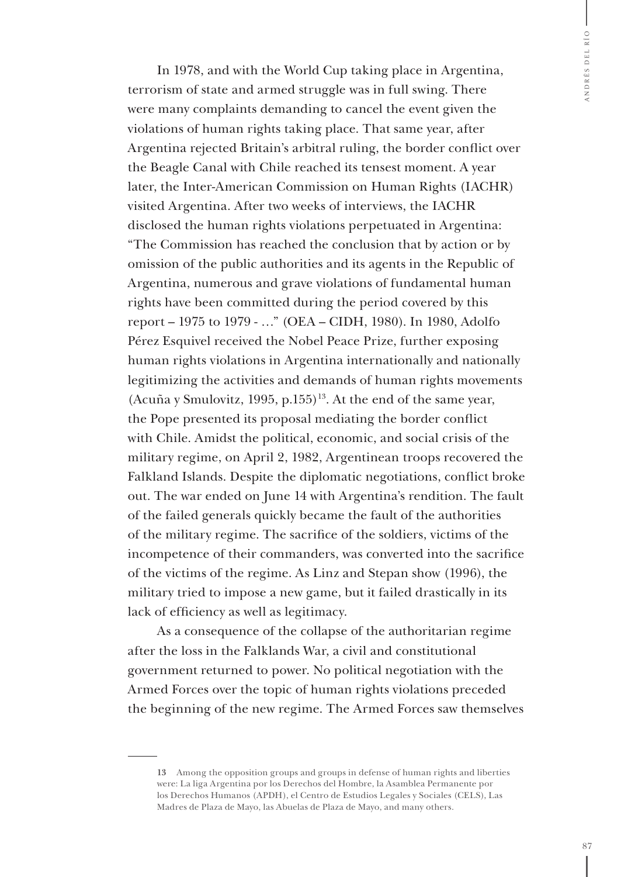In 1978, and with the World Cup taking place in Argentina, terrorism of state and armed struggle was in full swing. There were many complaints demanding to cancel the event given the violations of human rights taking place. That same year, after Argentina rejected Britain's arbitral ruling, the border conflict over the Beagle Canal with Chile reached its tensest moment. A year later, the Inter-American Commission on Human Rights (IACHR) visited Argentina. After two weeks of interviews, the IACHR disclosed the human rights violations perpetuated in Argentina: "The Commission has reached the conclusion that by action or by omission of the public authorities and its agents in the Republic of Argentina, numerous and grave violations of fundamental human rights have been committed during the period covered by this report – 1975 to 1979 - …" (OEA – CIDH, 1980). In 1980, Adolfo Pérez Esquivel received the Nobel Peace Prize, further exposing human rights violations in Argentina internationally and nationally legitimizing the activities and demands of human rights movements (Acuña y Smulovitz, 1995, p.155)<sup>13</sup>. At the end of the same year, the Pope presented its proposal mediating the border conflict with Chile. Amidst the political, economic, and social crisis of the military regime, on April 2, 1982, Argentinean troops recovered the Falkland Islands. Despite the diplomatic negotiations, conflict broke out. The war ended on June 14 with Argentina's rendition. The fault of the failed generals quickly became the fault of the authorities of the military regime. The sacrifice of the soldiers, victims of the incompetence of their commanders, was converted into the sacrifice of the victims of the regime. As Linz and Stepan show (1996), the military tried to impose a new game, but it failed drastically in its lack of efficiency as well as legitimacy.

As a consequence of the collapse of the authoritarian regime after the loss in the Falklands War, a civil and constitutional government returned to power. No political negotiation with the Armed Forces over the topic of human rights violations preceded the beginning of the new regime. The Armed Forces saw themselves

**<sup>13</sup>** Among the opposition groups and groups in defense of human rights and liberties were: La liga Argentina por los Derechos del Hombre, la Asamblea Permanente por los Derechos Humanos (APDH), el Centro de Estudios Legales y Sociales (CELS), Las Madres de Plaza de Mayo, las Abuelas de Plaza de Mayo, and many others.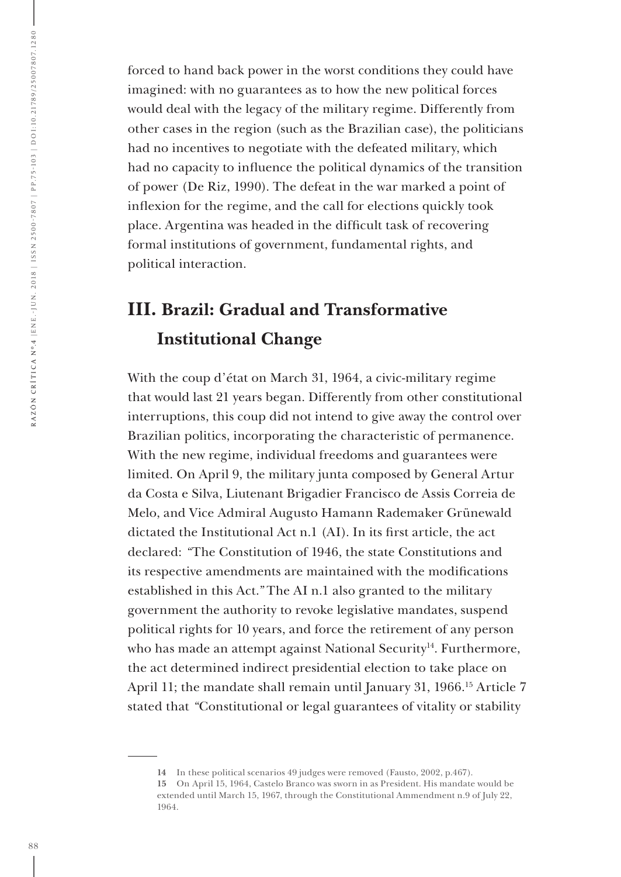forced to hand back power in the worst conditions they could have imagined: with no guarantees as to how the new political forces would deal with the legacy of the military regime. Differently from other cases in the region (such as the Brazilian case), the politicians had no incentives to negotiate with the defeated military, which had no capacity to influence the political dynamics of the transition of power (De Riz, 1990). The defeat in the war marked a point of inflexion for the regime, and the call for elections quickly took place. Argentina was headed in the difficult task of recovering formal institutions of government, fundamental rights, and political interaction.

### **III. Brazil: Gradual and Transformative Institutional Change**

With the coup d'état on March 31, 1964, a civic-military regime that would last 21 years began. Differently from other constitutional interruptions, this coup did not intend to give away the control over Brazilian politics, incorporating the characteristic of permanence. With the new regime, individual freedoms and guarantees were limited. On April 9, the military junta composed by General Artur da Costa e Silva, Liutenant Brigadier Francisco de Assis Correia de Melo, and Vice Admiral Augusto Hamann Rademaker Grünewald dictated the Institutional Act n.1 (AI). In its first article, the act declared: *"*The Constitution of 1946, the state Constitutions and its respective amendments are maintained with the modifications established in this Act.*"* The AI n.1 also granted to the military government the authority to revoke legislative mandates, suspend political rights for 10 years, and force the retirement of any person who has made an attempt against National Security<sup>14</sup>. Furthermore, the act determined indirect presidential election to take place on April 11; the mandate shall remain until January 31, 1966.15 Article 7 stated that *"*Constitutional or legal guarantees of vitality or stability

**<sup>14</sup>** In these political scenarios 49 judges were removed (Fausto, 2002, p.467).

**<sup>15</sup>** On April 15, 1964, Castelo Branco was sworn in as President. His mandate would be extended until March 15, 1967, through the Constitutional Ammendment n.9 of July 22, 1964.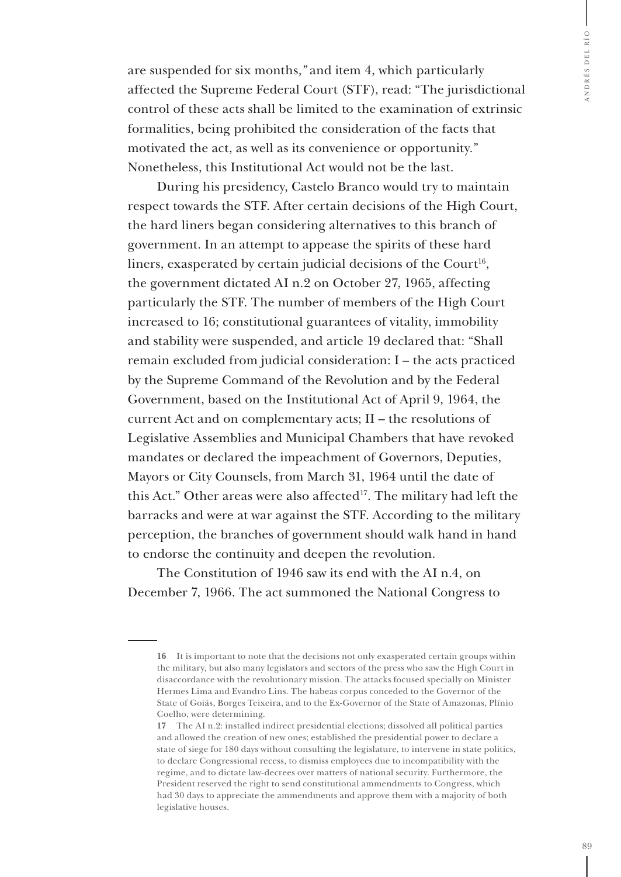are suspended for six months*,"* and item 4, which particularly affected the Supreme Federal Court (STF), read: "The jurisdictional control of these acts shall be limited to the examination of extrinsic formalities, being prohibited the consideration of the facts that motivated the act, as well as its convenience or opportunity.*"* Nonetheless, this Institutional Act would not be the last.

During his presidency, Castelo Branco would try to maintain respect towards the STF. After certain decisions of the High Court, the hard liners began considering alternatives to this branch of government. In an attempt to appease the spirits of these hard liners, exasperated by certain judicial decisions of the Court<sup>16</sup>, the government dictated AI n.2 on October 27, 1965, affecting particularly the STF. The number of members of the High Court increased to 16; constitutional guarantees of vitality, immobility and stability were suspended, and article 19 declared that: "Shall remain excluded from judicial consideration: I – the acts practiced by the Supreme Command of the Revolution and by the Federal Government, based on the Institutional Act of April 9, 1964, the current Act and on complementary acts; II – the resolutions of Legislative Assemblies and Municipal Chambers that have revoked mandates or declared the impeachment of Governors, Deputies, Mayors or City Counsels, from March 31, 1964 until the date of this Act." Other areas were also affected<sup>17</sup>. The military had left the barracks and were at war against the STF. According to the military perception, the branches of government should walk hand in hand to endorse the continuity and deepen the revolution.

The Constitution of 1946 saw its end with the AI n.4, on December 7, 1966. The act summoned the National Congress to

**<sup>16</sup>** It is important to note that the decisions not only exasperated certain groups within the military, but also many legislators and sectors of the press who saw the High Court in disaccordance with the revolutionary mission. The attacks focused specially on Minister Hermes Lima and Evandro Lins. The habeas corpus conceded to the Governor of the State of Goiás, Borges Teixeira, and to the Ex-Governor of the State of Amazonas, Plínio Coelho, were determining.

**<sup>17</sup>** The AI n.2: installed indirect presidential elections; dissolved all political parties and allowed the creation of new ones; established the presidential power to declare a state of siege for 180 days without consulting the legislature, to intervene in state politics, to declare Congressional recess, to dismiss employees due to incompatibility with the regime, and to dictate law-decrees over matters of national security. Furthermore, the President reserved the right to send constitutional ammendments to Congress, which had 30 days to appreciate the ammendments and approve them with a majority of both legislative houses.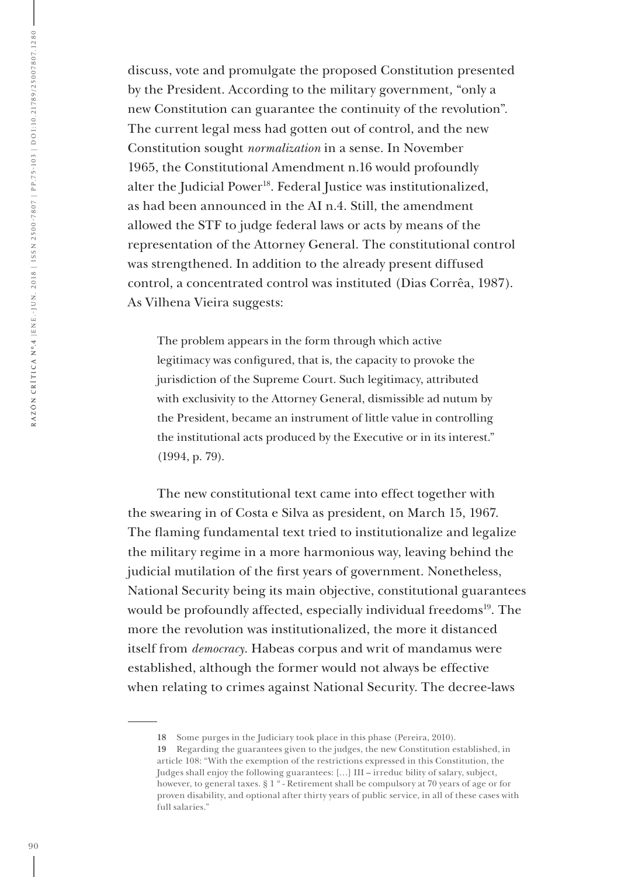discuss, vote and promulgate the proposed Constitution presented by the President. According to the military government*,* "only a new Constitution can guarantee the continuity of the revolution"*.* The current legal mess had gotten out of control, and the new Constitution sought *normalization* in a sense. In November 1965, the Constitutional Amendment n.16 would profoundly alter the Judicial Power<sup>18</sup>. Federal Justice was institutionalized, as had been announced in the AI n.4. Still, the amendment allowed the STF to judge federal laws or acts by means of the representation of the Attorney General. The constitutional control was strengthened. In addition to the already present diffused control, a concentrated control was instituted (Dias Corrêa, 1987). As Vilhena Vieira suggests:

The problem appears in the form through which active legitimacy was configured, that is, the capacity to provoke the jurisdiction of the Supreme Court. Such legitimacy, attributed with exclusivity to the Attorney General, dismissible ad nutum by the President, became an instrument of little value in controlling the institutional acts produced by the Executive or in its interest." (1994, p. 79).

The new constitutional text came into effect together with the swearing in of Costa e Silva as president, on March 15, 1967. The flaming fundamental text tried to institutionalize and legalize the military regime in a more harmonious way, leaving behind the judicial mutilation of the first years of government. Nonetheless, National Security being its main objective, constitutional guarantees would be profoundly affected, especially individual freedoms<sup>19</sup>. The more the revolution was institutionalized, the more it distanced itself from *democracy*. Habeas corpus and writ of mandamus were established, although the former would not always be effective when relating to crimes against National Security. The decree-laws

**<sup>18</sup>** Some purges in the Judiciary took place in this phase (Pereira, 2010).

**<sup>19</sup>** Regarding the guarantees given to the judges, the new Constitution established, in article 108: "With the exemption of the restrictions expressed in this Constitution, the Judges shall enjoy the following guarantees: […] III – irreduc bility of salary, subject, however, to general taxes. § 1 º - Retirement shall be compulsory at 70 years of age or for proven disability, and optional after thirty years of public service, in all of these cases with full salaries."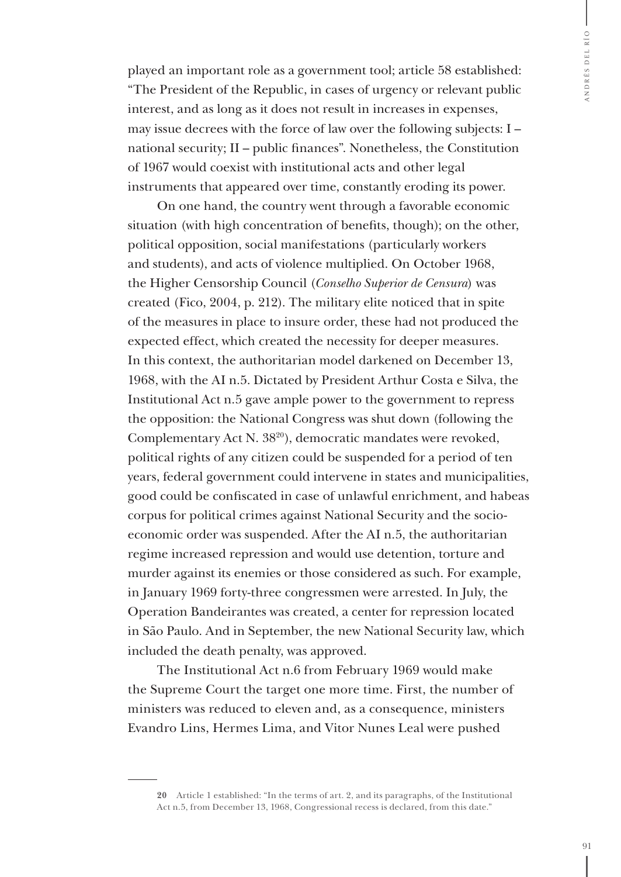played an important role as a government tool; article 58 established: "The President of the Republic, in cases of urgency or relevant public interest, and as long as it does not result in increases in expenses, may issue decrees with the force of law over the following subjects: I – national security; II – public finances". Nonetheless, the Constitution of 1967 would coexist with institutional acts and other legal instruments that appeared over time, constantly eroding its power.

On one hand, the country went through a favorable economic situation (with high concentration of benefits, though); on the other, political opposition, social manifestations (particularly workers and students), and acts of violence multiplied. On October 1968, the Higher Censorship Council (*Conselho Superior de Censura*) was created (Fico, 2004, p. 212). The military elite noticed that in spite of the measures in place to insure order, these had not produced the expected effect, which created the necessity for deeper measures. In this context, the authoritarian model darkened on December 13, 1968, with the AI n.5. Dictated by President Arthur Costa e Silva, the Institutional Act n.5 gave ample power to the government to repress the opposition: the National Congress was shut down (following the Complementary Act N. 3820), democratic mandates were revoked, political rights of any citizen could be suspended for a period of ten years, federal government could intervene in states and municipalities, good could be confiscated in case of unlawful enrichment, and habeas corpus for political crimes against National Security and the socioeconomic order was suspended. After the AI n.5, the authoritarian regime increased repression and would use detention, torture and murder against its enemies or those considered as such. For example, in January 1969 forty-three congressmen were arrested. In July, the Operation Bandeirantes was created, a center for repression located in São Paulo. And in September, the new National Security law, which included the death penalty, was approved.

The Institutional Act n.6 from February 1969 would make the Supreme Court the target one more time. First, the number of ministers was reduced to eleven and, as a consequence, ministers Evandro Lins, Hermes Lima, and Vitor Nunes Leal were pushed

**<sup>20</sup>** Article 1 established: "In the terms of art. 2, and its paragraphs, of the Institutional Act n.5, from December 13, 1968, Congressional recess is declared, from this date."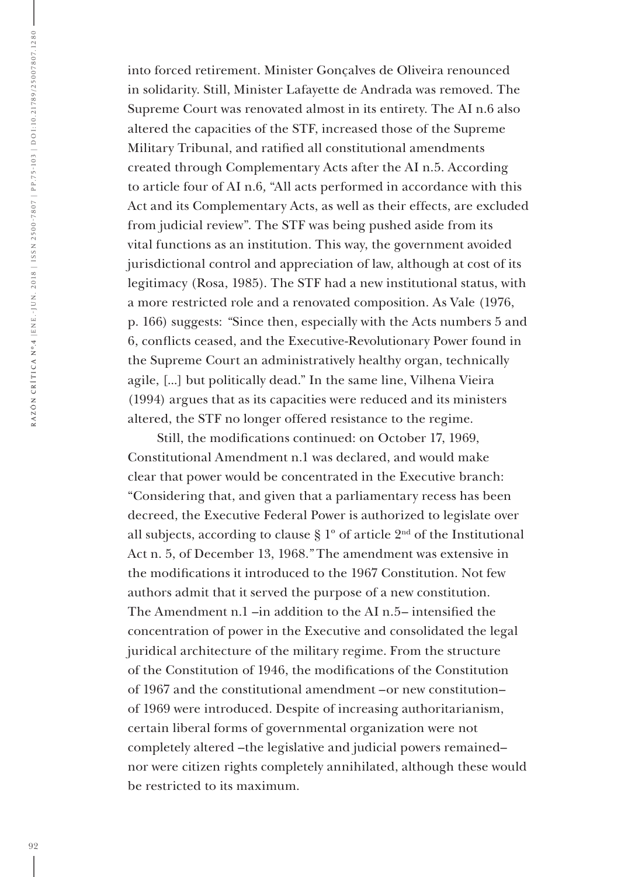into forced retirement. Minister Gonçalves de Oliveira renounced in solidarity. Still, Minister Lafayette de Andrada was removed. The Supreme Court was renovated almost in its entirety. The AI n.6 also altered the capacities of the STF, increased those of the Supreme Military Tribunal, and ratified all constitutional amendments created through Complementary Acts after the AI n.5. According to article four of AI n.6*,* "All acts performed in accordance with this Act and its Complementary Acts, as well as their effects, are excluded from judicial review". The STF was being pushed aside from its vital functions as an institution. This way, the government avoided jurisdictional control and appreciation of law, although at cost of its legitimacy (Rosa, 1985). The STF had a new institutional status, with a more restricted role and a renovated composition. As Vale (1976, p. 166) suggests: *"*Since then, especially with the Acts numbers 5 and 6, conflicts ceased, and the Executive-Revolutionary Power found in the Supreme Court an administratively healthy organ, technically agile, [...] but politically dead." In the same line, Vilhena Vieira (1994) argues that as its capacities were reduced and its ministers altered, the STF no longer offered resistance to the regime.

Still, the modifications continued: on October 17, 1969, Constitutional Amendment n.1 was declared, and would make clear that power would be concentrated in the Executive branch: "Considering that, and given that a parliamentary recess has been decreed, the Executive Federal Power is authorized to legislate over all subjects, according to clause  $\S 1^{\circ}$  of article  $2^{\text{nd}}$  of the Institutional Act n. 5, of December 13, 1968.*"* The amendment was extensive in the modifications it introduced to the 1967 Constitution. Not few authors admit that it served the purpose of a new constitution. The Amendment n.1 –in addition to the AI n.5– intensified the concentration of power in the Executive and consolidated the legal juridical architecture of the military regime. From the structure of the Constitution of 1946, the modifications of the Constitution of 1967 and the constitutional amendment –or new constitution– of 1969 were introduced. Despite of increasing authoritarianism, certain liberal forms of governmental organization were not completely altered –the legislative and judicial powers remained– nor were citizen rights completely annihilated, although these would be restricted to its maximum.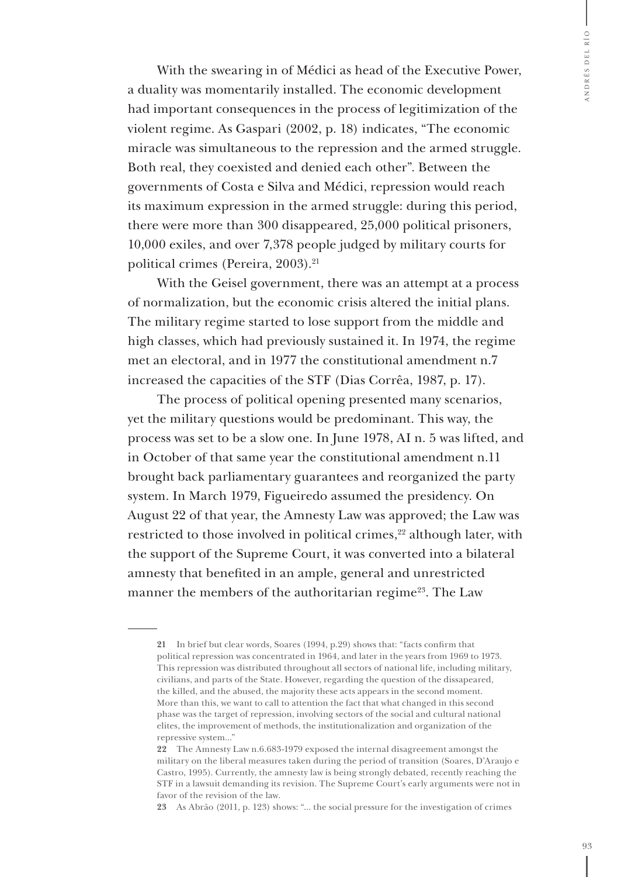With the swearing in of Médici as head of the Executive Power, a duality was momentarily installed. The economic development had important consequences in the process of legitimization of the violent regime. As Gaspari (2002, p. 18) indicates, "The economic miracle was simultaneous to the repression and the armed struggle. Both real, they coexisted and denied each other". Between the governments of Costa e Silva and Médici, repression would reach its maximum expression in the armed struggle: during this period, there were more than 300 disappeared, 25,000 political prisoners, 10,000 exiles, and over 7,378 people judged by military courts for political crimes (Pereira, 2003).<sup>21</sup>

With the Geisel government, there was an attempt at a process of normalization, but the economic crisis altered the initial plans. The military regime started to lose support from the middle and high classes, which had previously sustained it. In 1974, the regime met an electoral, and in 1977 the constitutional amendment n.7 increased the capacities of the STF (Dias Corrêa, 1987, p. 17).

The process of political opening presented many scenarios, yet the military questions would be predominant. This way, the process was set to be a slow one. In June 1978, AI n. 5 was lifted, and in October of that same year the constitutional amendment n.11 brought back parliamentary guarantees and reorganized the party system. In March 1979, Figueiredo assumed the presidency. On August 22 of that year, the Amnesty Law was approved; the Law was restricted to those involved in political crimes,<sup>22</sup> although later, with the support of the Supreme Court, it was converted into a bilateral amnesty that benefited in an ample, general and unrestricted manner the members of the authoritarian regime<sup>23</sup>. The Law

**<sup>21</sup>** In brief but clear words, Soares (1994, p.29) shows that: "facts confirm that political repression was concentrated in 1964, and later in the years from 1969 to 1973. This repression was distributed throughout all sectors of national life, including military, civilians, and parts of the State. However, regarding the question of the dissapeared, the killed, and the abused, the majority these acts appears in the second moment. More than this, we want to call to attention the fact that what changed in this second phase was the target of repression, involving sectors of the social and cultural national elites, the improvement of methods, the institutionalization and organization of the repressive system..."

**<sup>22</sup>** The Amnesty Law n.6.683-1979 exposed the internal disagreement amongst the military on the liberal measures taken during the period of transition (Soares, D'Araujo e Castro, 1995). Currently, the amnesty law is being strongly debated, recently reaching the STF in a lawsuit demanding its revision. The Supreme Court's early arguments were not in favor of the revision of the law.

**<sup>23</sup>** As Abrão (2011, p. 123) shows: "... the social pressure for the investigation of crimes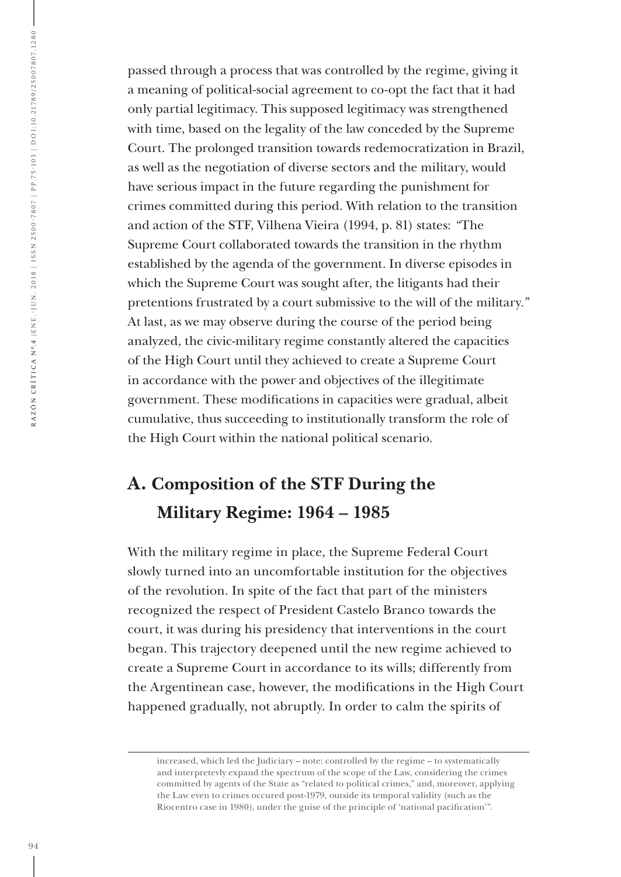passed through a process that was controlled by the regime, giving it a meaning of political-social agreement to co-opt the fact that it had only partial legitimacy. This supposed legitimacy was strengthened with time, based on the legality of the law conceded by the Supreme Court. The prolonged transition towards redemocratization in Brazil, as well as the negotiation of diverse sectors and the military, would have serious impact in the future regarding the punishment for crimes committed during this period. With relation to the transition and action of the STF, Vilhena Vieira (1994, p. 81) states: *"*The Supreme Court collaborated towards the transition in the rhythm established by the agenda of the government. In diverse episodes in which the Supreme Court was sought after, the litigants had their pretentions frustrated by a court submissive to the will of the military*."* At last, as we may observe during the course of the period being analyzed, the civic-military regime constantly altered the capacities of the High Court until they achieved to create a Supreme Court in accordance with the power and objectives of the illegitimate government. These modifications in capacities were gradual, albeit cumulative, thus succeeding to institutionally transform the role of the High Court within the national political scenario.

### **A. Composition of the STF During the Military Regime: 1964 – 1985**

With the military regime in place, the Supreme Federal Court slowly turned into an uncomfortable institution for the objectives of the revolution. In spite of the fact that part of the ministers recognized the respect of President Castelo Branco towards the court, it was during his presidency that interventions in the court began. This trajectory deepened until the new regime achieved to create a Supreme Court in accordance to its wills; differently from the Argentinean case, however, the modifications in the High Court happened gradually, not abruptly. In order to calm the spirits of

increased, which led the Judiciary – note: controlled by the regime – to systematically and interpretevly expand the spectrum of the scope of the Law, considering the crimes committed by agents of the State as "related to political crimes," and, moreover, applying the Law even to crimes occured post-1979, outside its temporal validity (such as the Riocentro case in 1980), under the guise of the principle of 'national pacification'".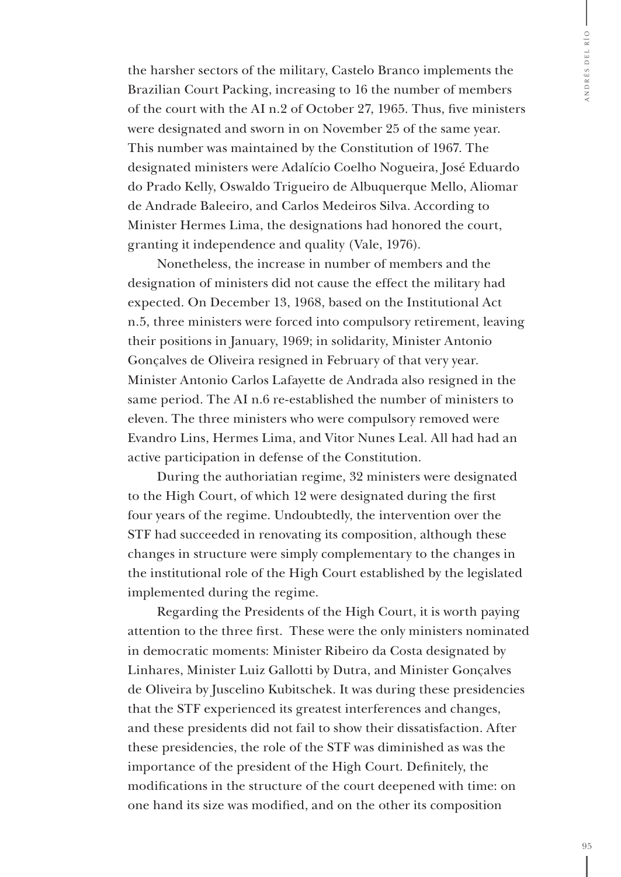the harsher sectors of the military, Castelo Branco implements the Brazilian Court Packing, increasing to 16 the number of members of the court with the AI n.2 of October 27, 1965. Thus, five ministers were designated and sworn in on November 25 of the same year. This number was maintained by the Constitution of 1967. The designated ministers were Adalício Coelho Nogueira, José Eduardo do Prado Kelly, Oswaldo Trigueiro de Albuquerque Mello, Aliomar de Andrade Baleeiro, and Carlos Medeiros Silva. According to Minister Hermes Lima, the designations had honored the court, granting it independence and quality (Vale, 1976).

Nonetheless, the increase in number of members and the designation of ministers did not cause the effect the military had expected. On December 13, 1968, based on the Institutional Act n.5, three ministers were forced into compulsory retirement, leaving their positions in January, 1969; in solidarity, Minister Antonio Gonçalves de Oliveira resigned in February of that very year. Minister Antonio Carlos Lafayette de Andrada also resigned in the same period. The AI n.6 re-established the number of ministers to eleven. The three ministers who were compulsory removed were Evandro Lins, Hermes Lima, and Vitor Nunes Leal. All had had an active participation in defense of the Constitution.

During the authoriatian regime, 32 ministers were designated to the High Court, of which 12 were designated during the first four years of the regime. Undoubtedly, the intervention over the STF had succeeded in renovating its composition, although these changes in structure were simply complementary to the changes in the institutional role of the High Court established by the legislated implemented during the regime.

Regarding the Presidents of the High Court, it is worth paying attention to the three first. These were the only ministers nominated in democratic moments: Minister Ribeiro da Costa designated by Linhares, Minister Luiz Gallotti by Dutra, and Minister Gonçalves de Oliveira by Juscelino Kubitschek. It was during these presidencies that the STF experienced its greatest interferences and changes, and these presidents did not fail to show their dissatisfaction. After these presidencies, the role of the STF was diminished as was the importance of the president of the High Court. Definitely, the modifications in the structure of the court deepened with time: on one hand its size was modified, and on the other its composition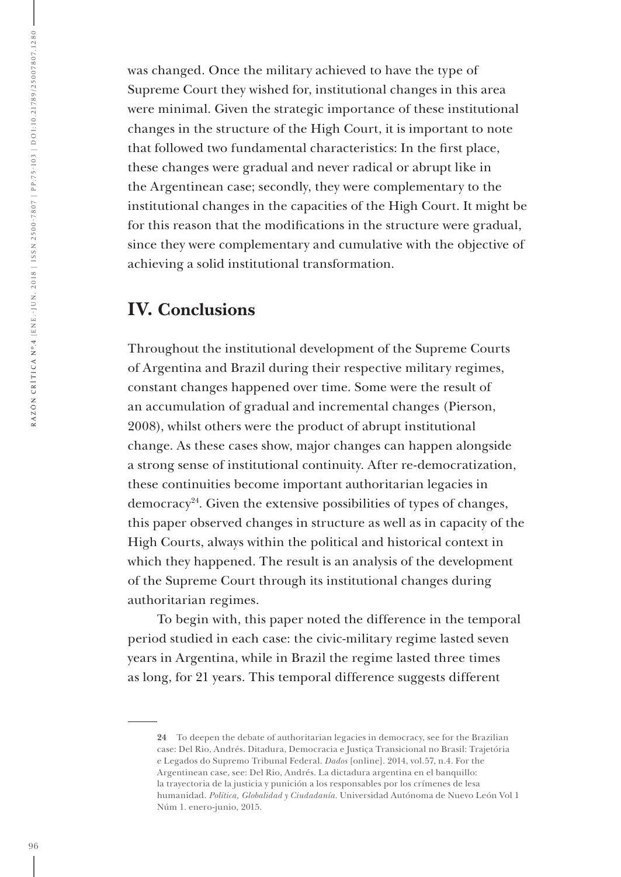was changed. Once the military achieved to have the type of Supreme Court they wished for, institutional changes in this area were minimal. Given the strategic importance of these institutional changes in the structure of the High Court, it is important to note that followed two fundamental characteristics: In the first place, these changes were gradual and never radical or abrupt like in the Argentinean case; secondly, they were complementary to the institutional changes in the capacities of the High Court. It might be for this reason that the modifications in the structure were gradual, since they were complementary and cumulative with the objective of achieving a solid institutional transformation.

#### **IV. Conclusions**

Throughout the institutional development of the Supreme Courts of Argentina and Brazil during their respective military regimes, constant changes happened over time. Some were the result of an accumulation of gradual and incremental changes (Pierson, 2008), whilst others were the product of abrupt institutional change. As these cases show, major changes can happen alongside a strong sense of institutional continuity. After re-democratization, these continuities become important authoritarian legacies in democracy<sup>24</sup>. Given the extensive possibilities of types of changes, this paper observed changes in structure as well as in capacity of the High Courts, always within the political and historical context in which they happened. The result is an analysis of the development of the Supreme Court through its institutional changes during authoritarian regimes.

To begin with, this paper noted the difference in the temporal period studied in each case: the civic-military regime lasted seven years in Argentina, while in Brazil the regime lasted three times as long, for 21 years. This temporal difference suggests different

**<sup>24</sup>** To deepen the debate of authoritarian legacies in democracy, see for the Brazilian case: Del Rio, Andrés. Ditadura, Democracia e Justiça Transicional no Brasil: Trajetória e Legados do Supremo Tribunal Federal. *Dados* [online]. 2014, vol.57, n.4. For the Argentinean case, see: Del Rio, Andrés. La dictadura argentina en el banquillo: la trayectoria de la justicia y punición a los responsables por los crímenes de lesa humanidad. *Política, Globalidad y Ciudadanía*. Universidad Autónoma de Nuevo León Vol 1 Núm 1. enero-junio, 2015.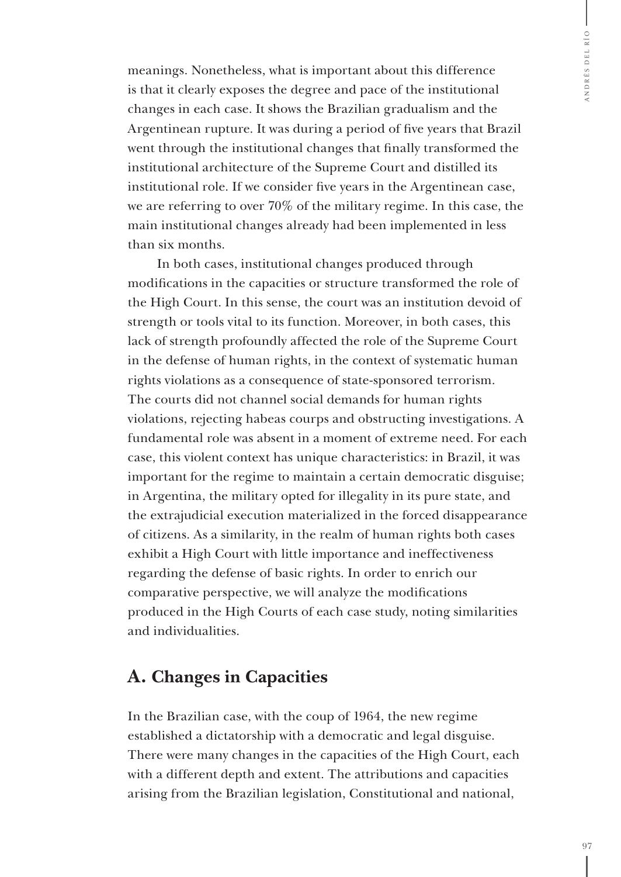meanings. Nonetheless, what is important about this difference is that it clearly exposes the degree and pace of the institutional changes in each case. It shows the Brazilian gradualism and the Argentinean rupture. It was during a period of five years that Brazil went through the institutional changes that finally transformed the institutional architecture of the Supreme Court and distilled its institutional role. If we consider five years in the Argentinean case, we are referring to over 70% of the military regime. In this case, the main institutional changes already had been implemented in less than six months.

In both cases, institutional changes produced through modifications in the capacities or structure transformed the role of the High Court. In this sense, the court was an institution devoid of strength or tools vital to its function. Moreover, in both cases, this lack of strength profoundly affected the role of the Supreme Court in the defense of human rights, in the context of systematic human rights violations as a consequence of state-sponsored terrorism. The courts did not channel social demands for human rights violations, rejecting habeas courps and obstructing investigations. A fundamental role was absent in a moment of extreme need. For each case, this violent context has unique characteristics: in Brazil, it was important for the regime to maintain a certain democratic disguise; in Argentina, the military opted for illegality in its pure state, and the extrajudicial execution materialized in the forced disappearance of citizens. As a similarity, in the realm of human rights both cases exhibit a High Court with little importance and ineffectiveness regarding the defense of basic rights. In order to enrich our comparative perspective, we will analyze the modifications produced in the High Courts of each case study, noting similarities and individualities.

#### **A. Changes in Capacities**

In the Brazilian case, with the coup of 1964, the new regime established a dictatorship with a democratic and legal disguise. There were many changes in the capacities of the High Court, each with a different depth and extent. The attributions and capacities arising from the Brazilian legislation, Constitutional and national,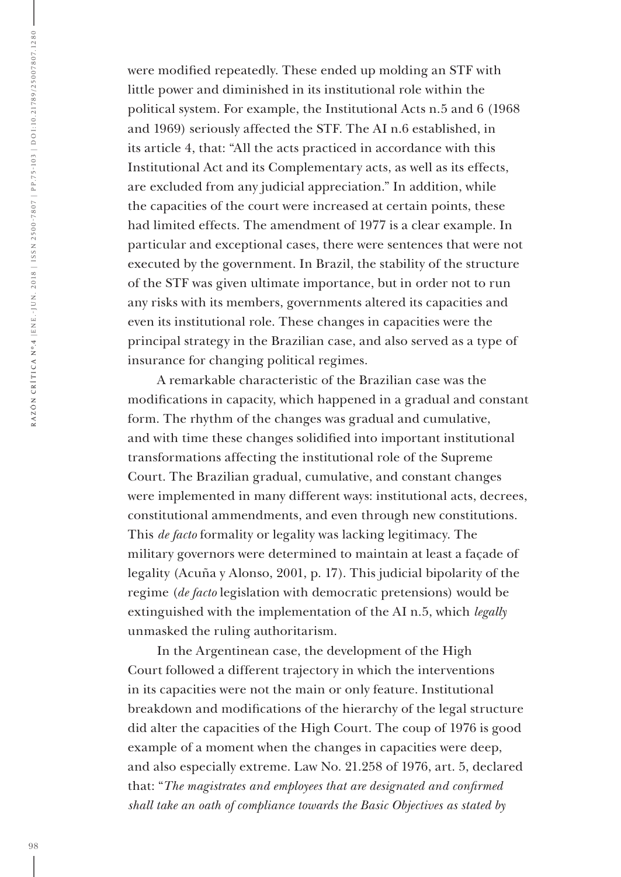were modified repeatedly. These ended up molding an STF with little power and diminished in its institutional role within the political system. For example, the Institutional Acts n.5 and 6 (1968 and 1969) seriously affected the STF. The AI n.6 established, in its article 4, that: "All the acts practiced in accordance with this Institutional Act and its Complementary acts, as well as its effects, are excluded from any judicial appreciation." In addition, while the capacities of the court were increased at certain points, these had limited effects. The amendment of 1977 is a clear example. In particular and exceptional cases, there were sentences that were not executed by the government. In Brazil, the stability of the structure of the STF was given ultimate importance, but in order not to run any risks with its members, governments altered its capacities and even its institutional role. These changes in capacities were the principal strategy in the Brazilian case, and also served as a type of insurance for changing political regimes.

A remarkable characteristic of the Brazilian case was the modifications in capacity, which happened in a gradual and constant form. The rhythm of the changes was gradual and cumulative, and with time these changes solidified into important institutional transformations affecting the institutional role of the Supreme Court. The Brazilian gradual, cumulative, and constant changes were implemented in many different ways: institutional acts, decrees, constitutional ammendments, and even through new constitutions. This *de facto* formality or legality was lacking legitimacy. The military governors were determined to maintain at least a façade of legality (Acuña y Alonso, 2001, p. 17). This judicial bipolarity of the regime (*de facto* legislation with democratic pretensions) would be extinguished with the implementation of the AI n.5, which *legally* unmasked the ruling authoritarism.

In the Argentinean case, the development of the High Court followed a different trajectory in which the interventions in its capacities were not the main or only feature. Institutional breakdown and modifications of the hierarchy of the legal structure did alter the capacities of the High Court. The coup of 1976 is good example of a moment when the changes in capacities were deep, and also especially extreme. Law No. 21.258 of 1976, art. 5, declared that: "*The magistrates and employees that are designated and confirmed shall take an oath of compliance towards the Basic Objectives as stated by*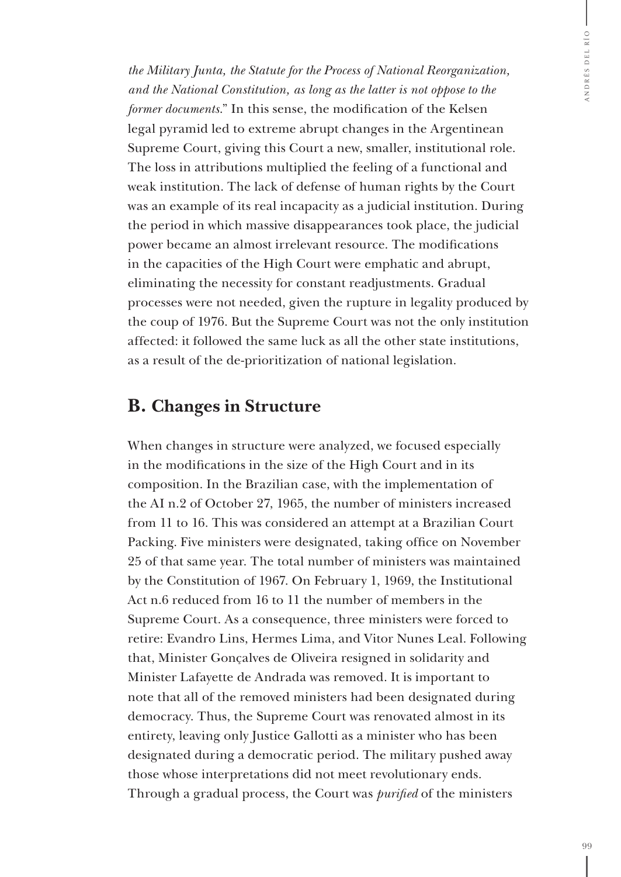*the Military Junta, the Statute for the Process of National Reorganization, and the National Constitution, as long as the latter is not oppose to the former documents*." In this sense, the modification of the Kelsen legal pyramid led to extreme abrupt changes in the Argentinean Supreme Court, giving this Court a new, smaller, institutional role. The loss in attributions multiplied the feeling of a functional and weak institution. The lack of defense of human rights by the Court was an example of its real incapacity as a judicial institution. During the period in which massive disappearances took place, the judicial power became an almost irrelevant resource. The modifications in the capacities of the High Court were emphatic and abrupt, eliminating the necessity for constant readjustments. Gradual processes were not needed, given the rupture in legality produced by the coup of 1976. But the Supreme Court was not the only institution affected: it followed the same luck as all the other state institutions, as a result of the de-prioritization of national legislation.

#### **B. Changes in Structure**

When changes in structure were analyzed, we focused especially in the modifications in the size of the High Court and in its composition. In the Brazilian case, with the implementation of the AI n.2 of October 27, 1965, the number of ministers increased from 11 to 16. This was considered an attempt at a Brazilian Court Packing. Five ministers were designated, taking office on November 25 of that same year. The total number of ministers was maintained by the Constitution of 1967. On February 1, 1969, the Institutional Act n.6 reduced from 16 to 11 the number of members in the Supreme Court. As a consequence, three ministers were forced to retire: Evandro Lins, Hermes Lima, and Vitor Nunes Leal. Following that, Minister Gonçalves de Oliveira resigned in solidarity and Minister Lafayette de Andrada was removed. It is important to note that all of the removed ministers had been designated during democracy. Thus, the Supreme Court was renovated almost in its entirety, leaving only Justice Gallotti as a minister who has been designated during a democratic period. The military pushed away those whose interpretations did not meet revolutionary ends. Through a gradual process, the Court was *purified* of the ministers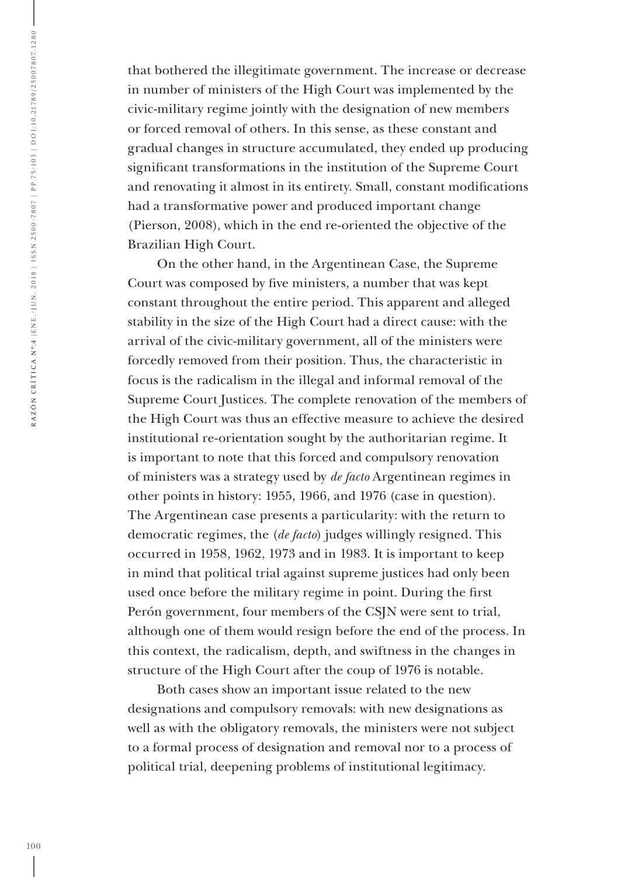that bothered the illegitimate government. The increase or decrease in number of ministers of the High Court was implemented by the civic-military regime jointly with the designation of new members or forced removal of others. In this sense, as these constant and gradual changes in structure accumulated, they ended up producing significant transformations in the institution of the Supreme Court and renovating it almost in its entirety. Small, constant modifications had a transformative power and produced important change (Pierson, 2008), which in the end re-oriented the objective of the Brazilian High Court.

On the other hand, in the Argentinean Case, the Supreme Court was composed by five ministers, a number that was kept constant throughout the entire period. This apparent and alleged stability in the size of the High Court had a direct cause: with the arrival of the civic-military government, all of the ministers were forcedly removed from their position. Thus, the characteristic in focus is the radicalism in the illegal and informal removal of the Supreme Court Justices. The complete renovation of the members of the High Court was thus an effective measure to achieve the desired institutional re-orientation sought by the authoritarian regime. It is important to note that this forced and compulsory renovation of ministers was a strategy used by *de facto* Argentinean regimes in other points in history: 1955, 1966, and 1976 (case in question). The Argentinean case presents a particularity: with the return to democratic regimes, the (*de facto*) judges willingly resigned. This occurred in 1958, 1962, 1973 and in 1983. It is important to keep in mind that political trial against supreme justices had only been used once before the military regime in point. During the first Perón government, four members of the CSJN were sent to trial, although one of them would resign before the end of the process. In this context, the radicalism, depth, and swiftness in the changes in structure of the High Court after the coup of 1976 is notable.

Both cases show an important issue related to the new designations and compulsory removals: with new designations as well as with the obligatory removals, the ministers were not subject to a formal process of designation and removal nor to a process of political trial, deepening problems of institutional legitimacy.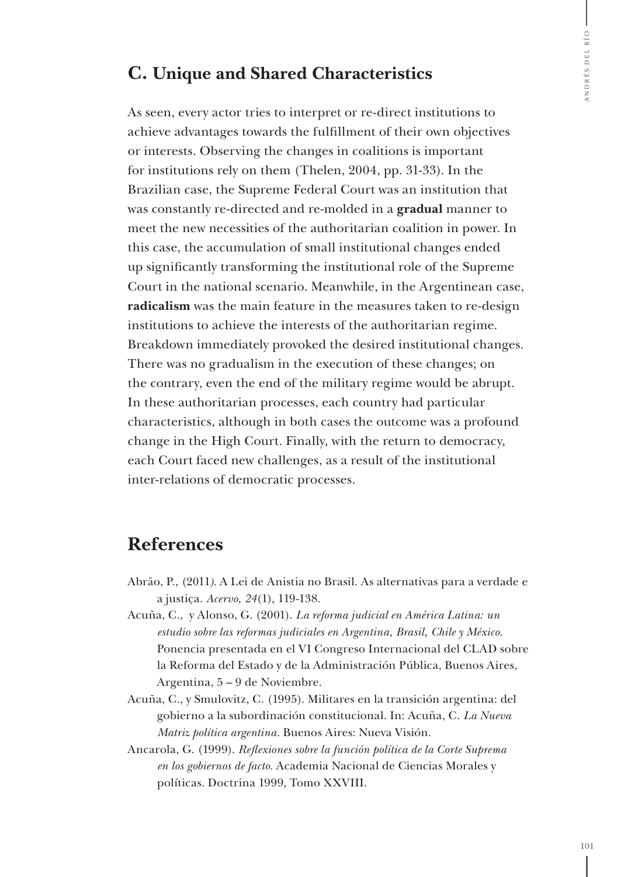#### **C. Unique and Shared Characteristics**

As seen, every actor tries to interpret or re-direct institutions to achieve advantages towards the fulfillment of their own objectives or interests. Observing the changes in coalitions is important for institutions rely on them (Thelen, 2004, pp. 31-33). In the Brazilian case, the Supreme Federal Court was an institution that was constantly re-directed and re-molded in a **gradual** manner to meet the new necessities of the authoritarian coalition in power. In this case, the accumulation of small institutional changes ended up significantly transforming the institutional role of the Supreme Court in the national scenario. Meanwhile, in the Argentinean case, **radicalism** was the main feature in the measures taken to re-design institutions to achieve the interests of the authoritarian regime. Breakdown immediately provoked the desired institutional changes. There was no gradualism in the execution of these changes; on the contrary, even the end of the military regime would be abrupt. In these authoritarian processes, each country had particular characteristics, although in both cases the outcome was a profound change in the High Court. Finally, with the return to democracy, each Court faced new challenges, as a result of the institutional inter-relations of democratic processes.

#### **References**

- Abrão, P., (2011*).* A Lei de Anistia no Brasil. As alternativas para a verdade e a justiça. *Acervo*, *24*(1), 119-138.
- Acuña, C., y Alonso, G. (2001). *La reforma judicial en América Latina: un estudio sobre las reformas judiciales en Argentina, Brasil, Chile y México.*  Ponencia presentada en el VI Congreso Internacional del CLAD sobre la Reforma del Estado y de la Administración Pública, Buenos Aires, Argentina, 5 – 9 de Noviembre.
- Acuña, C., y Smulovitz, C. (1995). Militares en la transición argentina: del gobierno a la subordinación constitucional. In: Acuña, C. *La Nueva Matriz política argentina.* Buenos Aires: Nueva Visión.
- Ancarola, G. (1999). *Reflexiones sobre la función política de la Corte Suprema en los gobiernos de facto.* Academia Nacional de Ciencias Morales y políticas. Doctrina 1999, Tomo XXVIII.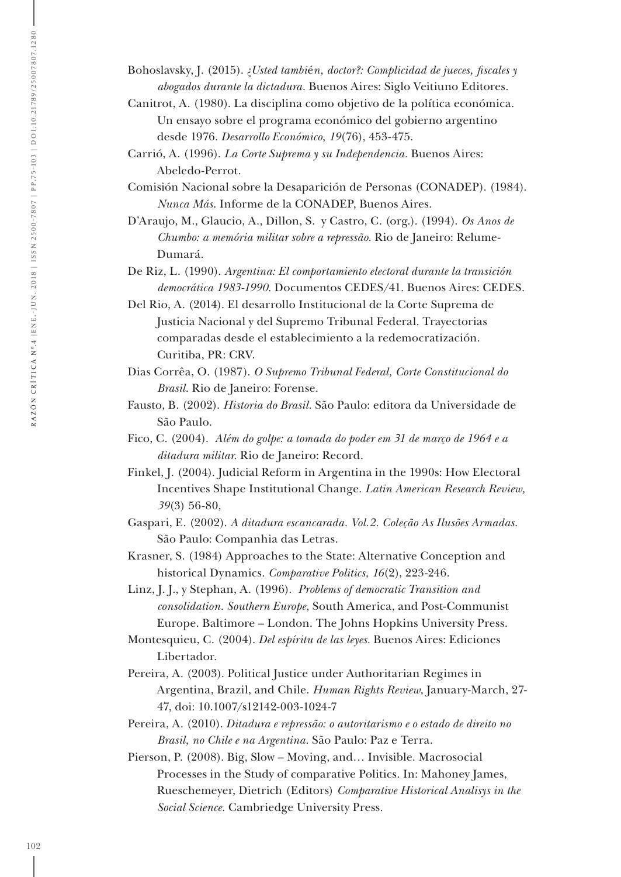Bohoslavsky, J. (2015). ¿*Usted tambi*é*n, doctor?: Complicidad de jueces, fiscales y abogados durante la dictadura.* Buenos Aires: Siglo Veitiuno Editores.

- Canitrot, A. (1980). La disciplina como objetivo de la política económica. Un ensayo sobre el programa económico del gobierno argentino desde 1976. *Desarrollo Económico*, *19*(76), 453-475.
- Carrió, A. (1996). *La Corte Suprema y su Independencia.* Buenos Aires: Abeledo-Perrot.

Comisión Nacional sobre la Desaparición de Personas (CONADEP). (1984). *Nunca Más*. Informe de la CONADEP, Buenos Aires.

D'Araujo, M., Glaucio, A., Dillon, S. y Castro, C. (org.). (1994). *Os Anos de Chumbo: a memória militar sobre a repressão.* Rio de Janeiro: Relume-Dumará.

De Riz, L. (1990). *Argentina: El comportamiento electoral durante la transición democrática 1983-1990*. Documentos CEDES/41. Buenos Aires: CEDES.

Del Rio, A. (2014). El desarrollo Institucional de la Corte Suprema de Justicia Nacional y del Supremo Tribunal Federal. Trayectorias comparadas desde el establecimiento a la redemocratización. Curitiba, PR: CRV.

Dias Corrêa, O. (1987). *O Supremo Tribunal Federal, Corte Constitucional do Brasil*. Rio de Janeiro: Forense.

Fausto, B. (2002). *Historia do Brasil*. São Paulo: editora da Universidade de São Paulo.

Fico, C. (2004). *Além do golpe: a tomada do poder em 31 de março de 1964 e a ditadura militar.* Rio de Janeiro: Record.

Finkel, J. (2004). Judicial Reform in Argentina in the 1990s: How Electoral Incentives Shape Institutional Change. *Latin American Research Review, 39*(3) 56-80,

Gaspari, E. (2002). *A ditadura escancarada. Vol.2. Coleção As Ilusões Armadas.* São Paulo: Companhia das Letras.

Krasner, S. (1984) Approaches to the State: Alternative Conception and historical Dynamics. *Comparative Politics, 16*(2), 223-246.

Linz, J. J., y Stephan, A. (1996). *Problems of democratic Transition and consolidation. Southern Europe*, South America, and Post-Communist Europe. Baltimore – London. The Johns Hopkins University Press.

Montesquieu, C. (2004). *Del espíritu de las leyes.* Buenos Aires: Ediciones Libertador.

Pereira, A. (2003). Political Justice under Authoritarian Regimes in Argentina, Brazil, and Chile. *Human Rights Review*, January-March, 27- 47, doi: 10.1007/s12142-003-1024-7

Pereira, A. (2010). *Ditadura e repressão: o autoritarismo e o estado de direito no Brasil, no Chile e na Argentina.* São Paulo: Paz e Terra.

Pierson, P. (2008). Big, Slow – Moving, and… Invisible. Macrosocial Processes in the Study of comparative Politics. In: Mahoney James, Rueschemeyer, Dietrich (Editors) *Comparative Historical Analisys in the Social Science.* Cambriedge University Press.